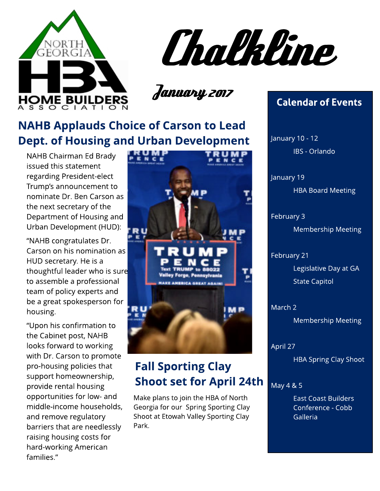

Chalkline

January 2017

## **NAHB Applauds Choice of Carson to Lead** Dept. of Housing and Urban Development

NAHB Chairman Ed Brady issued this statement regarding President-elect Trump?s announcement to nominate Dr. Ben Carson as the next secretary of the Department of Housing and Urban Development (HUD):

?NAHB congratulates Dr. Carson on his nomination as HUD secretary. He is a thoughtful leader who is sure to assemble a professional team of policy experts and be a great spokesperson for housing.

?Upon his confirmation to the Cabinet post, NAHB looks forward to working with Dr. Carson to promote pro-housing policies that support homeownership, provide rental housing opportunities for low- and middle-income households, and remove regulatory barriers that are needlessly raising housing costs for hard-working American families.?



## **Fall Sporting Clay Shoot set for April 24th**

Make plans to join the HBA of North Georgia for our Spring Sporting Clay Shoot at Etowah Valley Sporting Clay Park.

#### Calendar of Events

IBS - Orlando<br>I January 10 - 12

,<br>HBA Board Meeting January 19

February 3

Membership Meeting

February 21 Legislative Day at GA State Capitol

March 2

Membership Meeting

April 27

HBA Spring Clay Shoot

#### May 4 & 5

East Coast Builders Conference - Cobb Galleria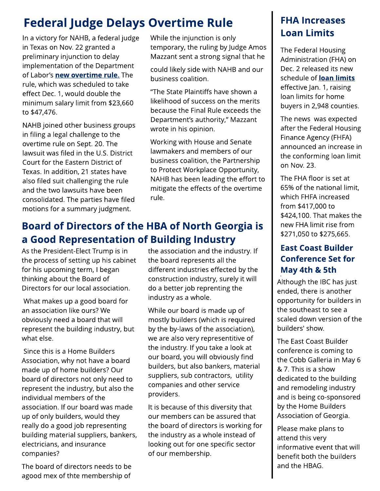## **Federal Judge Delays Overtime Rule**

In a victory for NAHB, a federal judge in Texas on Nov. 22 granted a preliminary injunction to delay implementation of the Department of Labor's [new](http://nahbnow.com/2016/11/federal-judge-blocks-overtime-rule/) [overt](http://nahbnow.com/2016/11/federal-judge-blocks-overtime-rule/)ime [rule.](http://nahbnow.com/2016/11/federal-judge-blocks-overtime-rule/) The rule, which was scheduled to take effect Dec. 1, would double the minimum salary limit from \$23,660 to \$47,476.

NAHB joined other business groups in filing a legal challenge to the overtime rule on Sept. 20. The lawsuit was filed in the U.S. District Court for the Eastern District of Texas. In addition, 21 states have also filed suit challenging the rule and the two lawsuits have been consolidated. The parties have filed motions for a summary judgment.

While the injunction is only temporary, the ruling by Judge Amos Mazzant sent a strong signal that he

could likely side with NAHB and our business coalition.

?The State Plaintiffs have shown a likelihood of success on the merits because the Final Rule exceeds the Department's authority," Mazzant wrote in his opinion.

Working with House and Senate lawmakers and members of our business coalition, the Partnership to Protect Workplace Opportunity, NAHB has been leading the effort to mitigate the effects of the overtime rule.

## Board of Directors of the HBA of North Georgia is a Good Representation of Building Industry

As the President-Elect Trump is in the process of setting up his cabinet for his upcoming term, I began thinking about the Board of Directors for our local association.

What makes up a good board for an association like ours?We obviously need a board that will represent the building industry, but what else.

Since this is a Home Builders Association, why not have a board made up of home builders? Our board of directors not only need to represent the industry, but also the individual members of the association. If our board was made up of only builders, would they really do a good job representing building material suppliers, bankers, electricians, and insurance companies?

The board of directors needs to be agood mex of thte membership of the association and the industry. If the board represents all the different industries effected by the construction industry, surely it will do a better job reprenting the industry as a whole.

While our board is made up of mostly builders (which is required by the by-laws of the association), we are also very representitive of the industry. If you take a look at our board, you will obviously find builders, but also bankers, material suppliers, sub contractors, utility companies and other service providers.

It is because of this diversity that our members can be assured that the board of directors is working for the industry as a whole instead of looking out for one specific sector of our membership.

#### FHA Increases **Loan Limits**

The Federal Housing Administration (FHA) on Dec. 2 released its new schedule of **[loan](http://nahbnow.com/2016/12/fha-raises-loan-limits/) [lim](http://nahbnow.com/2016/12/fha-raises-loan-limits/)its** effective Jan. 1, raising loan limits for home buyers in 2,948 counties.

The news was expected after the Federal Housing Finance Agency (FHFA) announced an increase in the conforming loan limit on Nov. 23.

The FHA floor is set at 65% of the national limit, which FHFA increased from \$417,000 to \$424,100. That makes the new FHA limit rise from \$271,050 to \$275,665.

#### East Coast Builder Conference Set for May 4th & 5th

Although the IBC has just ended, there is another opportunity for builders in the southeast to see a scaled down version of the builders' show.

The East Coast Builder conference is coming to the Cobb Galleria in May 6 & 7. This is a show dedicated to the building and remodeling industry and is being co-sponsored by the Home Builders Association of Georgia.

Please make plans to attend this very informative event that will benefit both the builders and the HBAG.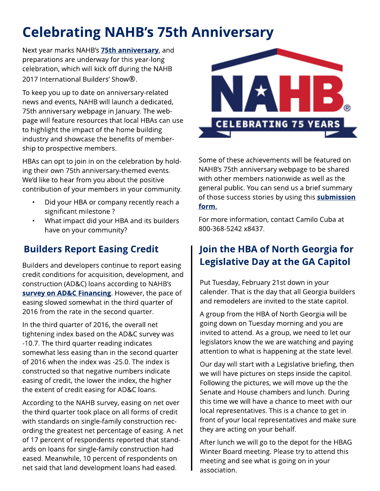# **Celebrating NAHB's 75th Anniversary**

Next year marks NAHB's **[75t](http://www.buildersshow.com/Home/Page.aspx?genericContentID=252105)h [anniversary](http://www.buildersshow.com/Home/Page.aspx?genericContentID=252105)**, and preparations are underway for this year-long celebration, which will kick off during the NAHB 2017 International Builders' Show®.

To keep you up to date on anniversary-related news and events, NAHB will launch a dedicated, 75th anniversary webpage in January. The webpage will feature resources that local HBAs can use to highlight the impact of the home building industry and showcase the benefits of membership to prospective members.

HBAs can opt to join in on the celebration by holding their own 75th anniversary-themed events. We'd like to hear from you about the positive contribution of your members in your community.

- Did your HBA or company recently reach a significant milestone ?
- What impact did your HBA and its builders have on your community?

Builders and developers continue to report easing credit conditions for acquisition, development, and construction (AD&C) loans according to NAHB?s [survey](http://eyeonhousing.org/2016/11/nahb-survey-adc-financing-standards-continue-to-ease/) [on](http://eyeonhousing.org/2016/11/nahb-survey-adc-financing-standards-continue-to-ease/) [AD&C](http://eyeonhousing.org/2016/11/nahb-survey-adc-financing-standards-continue-to-ease/) [Financing](http://eyeonhousing.org/2016/11/nahb-survey-adc-financing-standards-continue-to-ease/). However, the pace of easing slowed somewhat in the third quarter of 2016 from the rate in the second quarter.

In the third quarter of 2016, the overall net tightening index based on the AD&C survey was -10.7. The third quarter reading indicates somewhat less easing than in the second quarter of 2016 when the index was -25.0. The index is constructed so that negative numbers indicate easing of credit, the lower the index, the higher the extent of credit easing for AD&C loans.

According to the NAHB survey, easing on net over the third quarter took place on all forms of credit with standards on single-family construction recording the greatest net percentage of easing. A net of 17 percent of respondents reported that standards on loans for single-family construction had eased. Meanwhile, 10 percent of respondents on net said that land development loans had eased.



Some of these achievements will be featured on NAHB's 75th anniversary webpage to be shared with other members nationwide as well as the general public. You can send us a brief summary of those success stories by using this **subm[ission](http://www.buildersshow.com/form.aspx?formID=19493§ionID=2982)** [form](http://www.buildersshow.com/form.aspx?formID=19493§ionID=2982).

For more information, contact Camilo Cuba at 800-368-5242 x8437.

## Builders Report Easing Credit | Join the HBA of North Georgia for Legislative Day at the GA Capitol

Put Tuesday, February 21st down in your calender. That is the day that all Georgia builders and remodelers are invited to the state capitol.

A group from the HBA of North Georgia will be going down on Tuesday morning and you are invited to attend. As a group, we need to let our legislators know the we are watching and paying attention to what is happening at the state level.

Our day will start with a Legislative briefing, then we will have pictures on steps inside the capitol. Following the pictures, we will move up the the Senate and House chambers and lunch. During this time we will have a chance to meet with our local representatives. This is a chance to get in front of your local representatives and make sure they are acting on your behalf.

After lunch we will go to the depot for the HBAG Winter Board meeting. Please try to attend this meeting and see what is going on in your association.